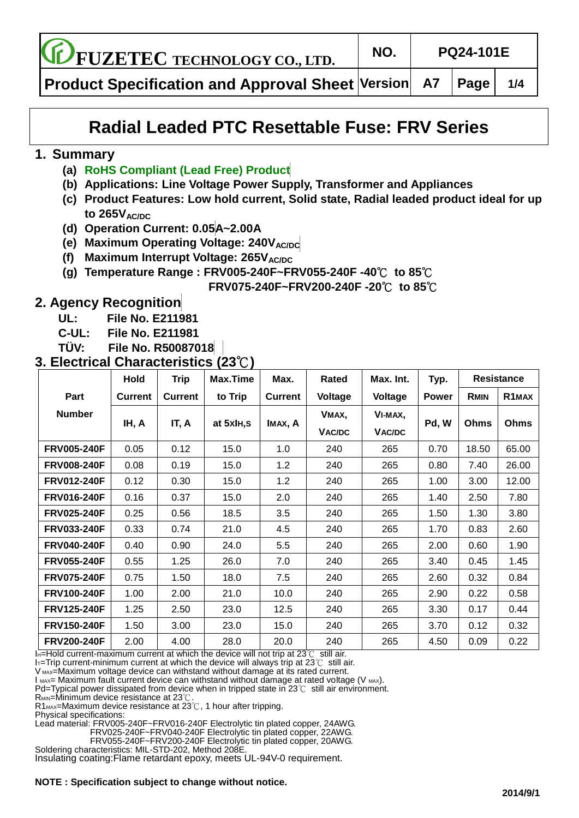**FUZETEC TECHNOLOGY CO., LTD. NO. PQ24-101E**

**Product Specification and Approval Sheet Version A7 Page 1/4**

# **Radial Leaded PTC Resettable Fuse: FRV Series**

#### **1. Summary**

- **(a) RoHS Compliant (Lead Free) Product**
- **(b) Applications: Line Voltage Power Supply, Transformer and Appliances**
- **(c) Product Features: Low hold current, Solid state, Radial leaded product ideal for up to 265VAC/DC**
- **(d) Operation Current: 0.05A~2.00A**
- **(e)** Maximum Operating Voltage: 240VAC/DC
- **(f) Maximum Interrupt Voltage: 265VAC/DC**
- **(g) Temperature Range : FRV005-240F~FRV055-240F -40**℃ **to 85**℃

 **FRV075-240F~FRV200-240F -20**℃ **to 85**℃

# **2. Agency Recognition**

- **UL: File No. E211981**
- **C-UL: File No. E211981**
- **TÜ V: File No. R50087018**

### **3. Electrical Characteristics (23**℃**)**

|                    | <b>Hold</b>    | <b>Trip</b>    | Max.Time   | Max.           | Rated         | Max. Int.     | Typ.         |             | <b>Resistance</b>  |  |
|--------------------|----------------|----------------|------------|----------------|---------------|---------------|--------------|-------------|--------------------|--|
| Part               | <b>Current</b> | <b>Current</b> | to Trip    | <b>Current</b> | Voltage       | Voltage       | <b>Power</b> | <b>RMIN</b> | R <sub>1</sub> MAX |  |
| <b>Number</b>      | IH, A          | IT, A          | at 5xIH, S | IMAX, A        | VMAX,         | VI-MAX,       | Pd, W        |             |                    |  |
|                    |                |                |            |                | <b>VAC/DC</b> | <b>VAC/DC</b> |              | <b>Ohms</b> | <b>Ohms</b>        |  |
| <b>FRV005-240F</b> | 0.05           | 0.12           | 15.0       | 1.0            | 240           | 265           | 0.70         | 18.50       | 65.00              |  |
| <b>FRV008-240F</b> | 0.08           | 0.19           | 15.0       | 1.2            | 240           | 265           | 0.80         | 7.40        | 26.00              |  |
| <b>FRV012-240F</b> | 0.12           | 0.30           | 15.0       | 1.2            | 240           | 265           | 1.00         | 3.00        | 12.00              |  |
| <b>FRV016-240F</b> | 0.16           | 0.37           | 15.0       | 2.0            | 240           | 265           | 1.40         | 2.50        | 7.80               |  |
| <b>FRV025-240F</b> | 0.25           | 0.56           | 18.5       | 3.5            | 240           | 265           | 1.50         | 1.30        | 3.80               |  |
| <b>FRV033-240F</b> | 0.33           | 0.74           | 21.0       | 4.5            | 240           | 265           | 1.70         | 0.83        | 2.60               |  |
| <b>FRV040-240F</b> | 0.40           | 0.90           | 24.0       | 5.5            | 240           | 265           | 2.00         | 0.60        | 1.90               |  |
| <b>FRV055-240F</b> | 0.55           | 1.25           | 26.0       | 7.0            | 240           | 265           | 3.40         | 0.45        | 1.45               |  |
| <b>FRV075-240F</b> | 0.75           | 1.50           | 18.0       | 7.5            | 240           | 265           | 2.60         | 0.32        | 0.84               |  |
| <b>FRV100-240F</b> | 1.00           | 2.00           | 21.0       | 10.0           | 240           | 265           | 2.90         | 0.22        | 0.58               |  |
| <b>FRV125-240F</b> | 1.25           | 2.50           | 23.0       | 12.5           | 240           | 265           | 3.30         | 0.17        | 0.44               |  |
| <b>FRV150-240F</b> | 1.50           | 3.00           | 23.0       | 15.0           | 240           | 265           | 3.70         | 0.12        | 0.32               |  |
| <b>FRV200-240F</b> | 2.00           | 4.00           | 28.0       | 20.0           | 240           | 265           | 4.50         | 0.09        | 0.22               |  |

IH=Hold current-maximum current at which the device will not trip at 23℃ still air.

I<sub>T</sub>=Trip current-minimum current at which the device will always trip at 23℃ still air.

V MAX=Maximum voltage device can withstand without damage at its rated current.

 $I_{MAX}$ = Maximum fault current device can withstand without damage at rated voltage (V  $_{MAX}$ ).

Pd=Typical power dissipated from device when in tripped state in 23℃ still air environment.

R<sub>MIN</sub>=Minimum device resistance at 23℃.

R1<sub>MAX</sub>=Maximum device resistance at 23℃, 1 hour after tripping.

Physical specifications:

Lead material: FRV005-240F~FRV016-240F Electrolytic tin plated copper, 24AWG.

FRV025-240F~FRV040-240F Electrolytic tin plated copper, 22AWG. FRV055-240F~FRV200-240F Electrolytic tin plated copper, 20AWG.

Soldering characteristics: MIL-STD-202, Method 208E.

Insulating coating:Flame retardant epoxy, meets UL-94V-0 requirement.

#### **NOTE : Specification subject to change without notice.**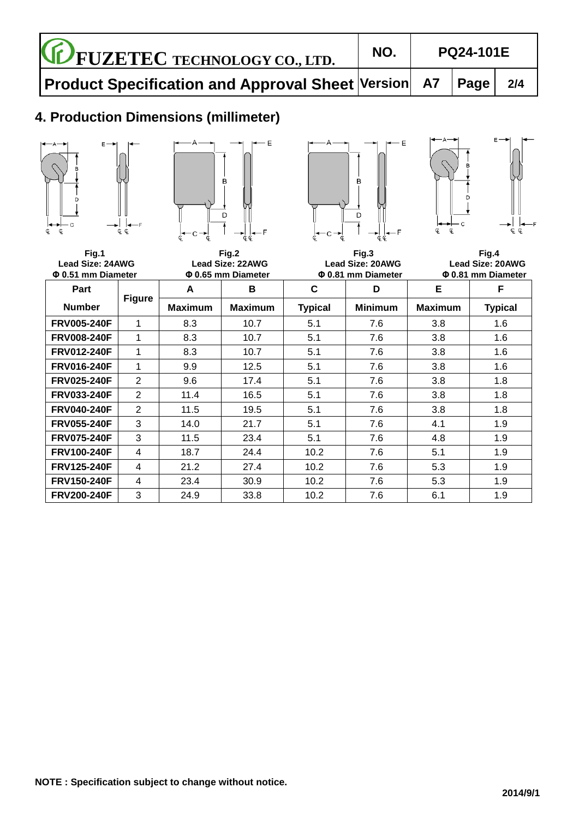### **4. Production Dimensions (millimeter)**









**Fig.1 Fig.2 Fig.3 Fig.4** Lead Size: 24AWG Lead Size: 22AWG Lead Size: 20AWG Lead Size: 20AWG<br>20.51 mm Diameter **Q 0.65 mm Diameter Q 0.81 mm Diameter** Q 0.81 mm Diameter **Φ 0.51 mm Diameter Φ 0.65 mm Diameter Φ 0.81 mm Diameter Φ 0.81 mm Diameter Part Number Figure A B C D E F Maximum Maximum Typical Minimum Maximum Typical FRV005-240F** 1 8.3 10.7 5.1 7.6 3.8 1.6 **FRV008-240F** 1 8.3 10.7 5.1 7.6 3.8 1.6 **FRV012-240F** 1 8.3 1 10.7 5.1 7.6 3.8 1 1.6 **FRV016-240F** 1 9.9 12.5 5.1 7.6 3.8 1.6 **FRV025-240F** 2 9.6 17.4 5.1 7.6 3.8 1.8 **FRV033-240F** 2 11.4 16.5 5.1 7.6 3.8 1.8 **FRV040-240F** 2 11.5 19.5 3.1 7.6 3.8 1.8 **FRV055-240F** 3 14.0 21.7 5.1 7.6 4.1 4.1 1.9 **FRV075-240F** 3 11.5 23.4 5.1 7.6 4.8 1.9 **FRV100-240F** 4 18.7 24.4 10.2 7.6 5.1 5.1 1.9 **FRV125-240F** 4 21.2 27.4 10.2 7.6 5.3 1.9 **FRV150-240F** 4 23.4 30.9 10.2 7.6 5.3 1.9 **FRV200-240F** 3 24.9 33.8 10.2 7.6 6.1 5.1 1.9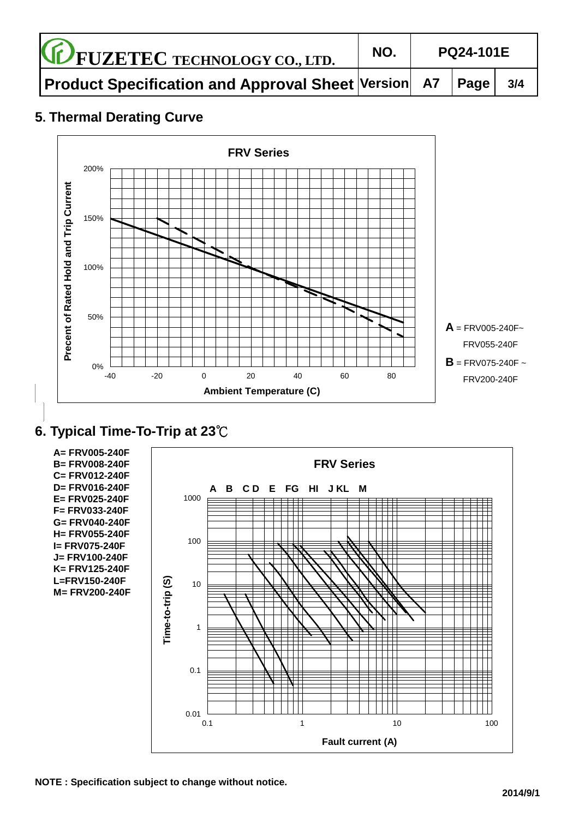| <b>CE FUZETEC TECHNOLOGY CO., LTD.</b>                          | NO. | <b>PQ24-101E</b> |  |     |
|-----------------------------------------------------------------|-----|------------------|--|-----|
| <b>Product Specification and Approval Sheet Version A7 Page</b> |     |                  |  | 3/4 |

## **5. Thermal Derating Curve**



# **6. Typical Time-To-Trip at 23**℃

**A= FRV005-240F B= FRV008-240F FRV SeriesC= FRV012-240F D= FRV016-240F A B C D E FG HI J KL M** 1000 **E= FRV025-240F F= FRV033-240F G= FRV040-240F H= FRV055-240F** 100 **I= FRV075-240F J= FRV100-240F K= FRV125-240F L=FRV150-240F** Time-to-trip (S) **Time-to-trip (S)** 10 **M= FRV200-240F** 1 0.1 0.01 0.1 1 10 100 **Fault current (A)**

**NOTE : Specification subject to change without notice.**